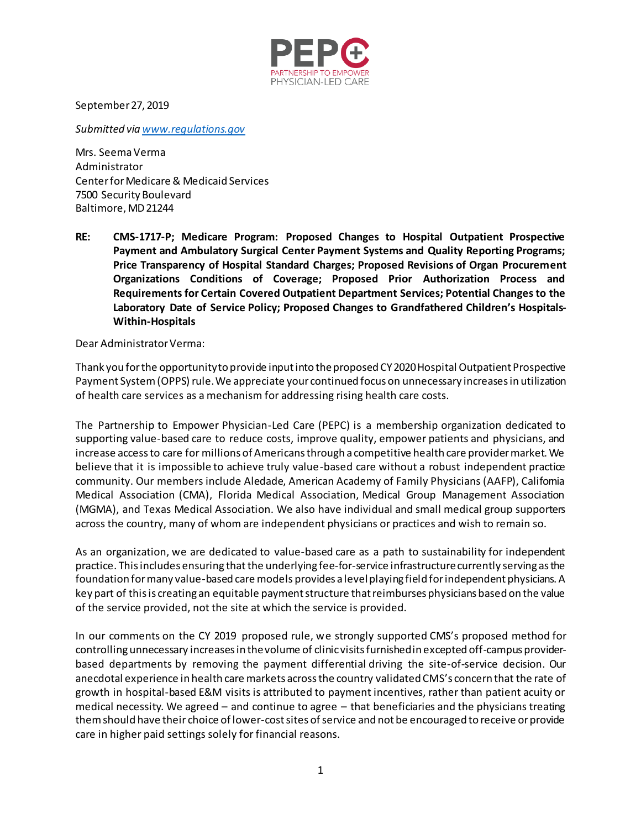

September 27, 2019

*Submitted vi[a www.regulations.gov](http://www.regulations.gov/)*

Mrs. Seema Verma Administrator Center for Medicare & Medicaid Services 7500 Security Boulevard Baltimore, MD 21244

**RE: CMS-1717-P; Medicare Program: Proposed Changes to Hospital Outpatient Prospective Payment and Ambulatory Surgical Center Payment Systems and Quality Reporting Programs; Price Transparency of Hospital Standard Charges; Proposed Revisions of Organ Procurement Organizations Conditions of Coverage; Proposed Prior Authorization Process and Requirements for Certain Covered Outpatient Department Services; Potential Changes to the Laboratory Date of Service Policy; Proposed Changes to Grandfathered Children's Hospitals-Within-Hospitals** 

Dear Administrator Verma:

Thank you for the opportunity to provide input into the proposed CY 2020 Hospital Outpatient Prospective Payment System (OPPS) rule. We appreciate your continued focus on unnecessary increases in utilization of health care services as a mechanism for addressing rising health care costs.

The Partnership to Empower Physician-Led Care (PEPC) is a membership organization dedicated to supporting value-based care to reduce costs, improve quality, empower patients and physicians, and increase access to care for millions of Americans through a competitive health care provider market. We believe that it is impossible to achieve truly value-based care without a robust independent practice community. Our members include Aledade, American Academy of Family Physicians (AAFP), California Medical Association (CMA), Florida Medical Association, Medical Group Management Association (MGMA), and Texas Medical Association. We also have individual and small medical group supporters across the country, many of whom are independent physicians or practices and wish to remain so.

As an organization, we are dedicated to value-based care as a path to sustainability for independent practice. This includes ensuring that the underlying fee-for-service infrastructure currently serving as the foundation for many value-based care models provides a level playing field for independent physicians. A key part of this is creating an equitable payment structure that reimburses physicians based on the value of the service provided, not the site at which the service is provided.

In our comments on the CY 2019 proposed rule, we strongly supported CMS's proposed method for controlling unnecessary increases in the volume of clinic visits furnished in excepted off-campus providerbased departments by removing the payment differential driving the site-of-service decision. Our anecdotal experience in health care markets across the country validated CMS's concern that the rate of growth in hospital-based E&M visits is attributed to payment incentives, rather than patient acuity or medical necessity. We agreed – and continue to agree – that beneficiaries and the physicians treating them should have their choice of lower-cost sites of service and not be encouraged to receive or provide care in higher paid settings solely for financial reasons.